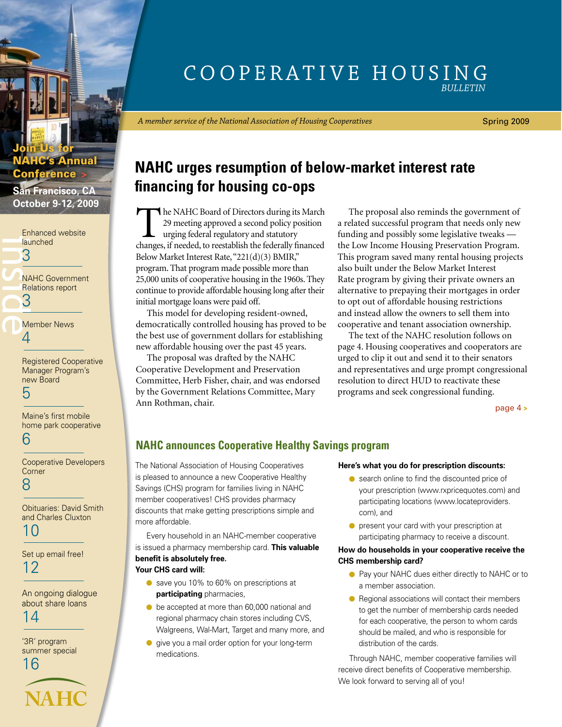### Cooperative Housing *Bulletin*

*A member service of the National Association of Housing Cooperatives*

Spring 2009

## **NAHC urges resumption of below-market interest rate financing for housing co-ops**

The NAHC Board of Directors during its March 29 meeting approved a second policy position urging federal regulatory and statutory changes, if needed, to reestablish the federally financed Below Market Interest Rate, "221(d)(3) BMIR," program. That program made possible more than 25,000 units of cooperative housing in the 1960s. They continue to provide affordable housing long after their initial mortgage loans were paid off.

This model for developing resident-owned, democratically controlled housing has proved to be the best use of government dollars for establishing new affordable housing over the past 45 years.

The proposal was drafted by the NAHC Cooperative Development and Preservation Committee, Herb Fisher, chair, and was endorsed by the Government Relations Committee, Mary Ann Rothman, chair.

The proposal also reminds the government of a related successful program that needs only new funding and possibly some legislative tweaks the Low Income Housing Preservation Program. This program saved many rental housing projects also built under the Below Market Interest Rate program by giving their private owners an alternative to prepaying their mortgages in order to opt out of affordable housing restrictions and instead allow the owners to sell them into cooperative and tenant association ownership.

The text of the NAHC resolution follows on page 4. Housing cooperatives and cooperators are urged to clip it out and send it to their senators and representatives and urge prompt congressional resolution to direct HUD to reactivate these programs and seek congressional funding.

[page 4](#page-3-0) **>**

### **NAHC announces Cooperative Healthy Savings program**

The National Association of Housing Cooperatives is pleased to announce a new Cooperative Healthy Savings (CHS) program for families living in NAHC member cooperatives! CHS provides pharmacy discounts that make getting prescriptions simple and more affordable.

Every household in an NAHC-member cooperative is issued a pharmacy membership card. **This valuable benefit is absolutely free.**

### **Your CHS card will:**

- save you 10% to 60% on prescriptions at **participating** pharmacies,
- $\bullet$  be accepted at more than 60,000 national and regional pharmacy chain stores including CVS, Walgreens, Wal-Mart, Target and many more, and
- **o** give you a mail order option for your long-term medications.

#### **Here's what you do for prescription discounts:**

- search online to find the discounted price of your prescription (www.rxpricequotes.com) and participating locations (www.locateproviders. com), and
- present your card with your prescription at participating pharmacy to receive a discount.

### **How do households in your cooperative receive the CHS membership card?**

- Pay your NAHC dues either directly to NAHC or to a member association.
- Regional associations will contact their members to get the number of membership cards needed for each cooperative, the person to whom cards should be mailed, and who is responsible for distribution of the cards.

Through NAHC, member cooperative families will receive direct benefits of Cooperative membership. We look forward to serving all of you!

## **HC's Annual** Conference **>**

<span id="page-0-0"></span>Join Us for

**San Francisco, CA October 9-12, 2009**

[Enhanced website](#page-2-0)  launched 3

iau<br>3<br>3<br>8<br>3<br>Média [NAHC Government](#page-2-0)  Relations report 3

[Member News](#page-3-0) 4

[Registered Cooperative](#page-4-0)  Manager Program's new Board

5

Maine's first mobile [home park cooperative](#page-5-0) 6

[Cooperative Developers](#page-7-0)  **Corner** 8

[Obituaries: David Smith](#page-9-0)  and Charles Cluxton 10

[Set up email free!](#page-11-0) 12

[An ongoing dialogue](#page-13-0)  about share loans 14

'3R' program [summer special](#page-15-0) 16

**NAHC**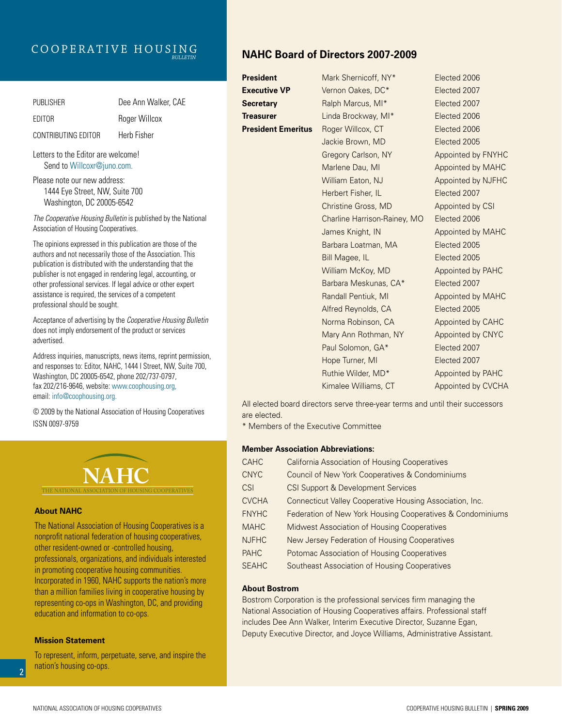### Cooperative Housing *Bulletin*

| <b>PUBLISHER</b>    | Dee Ann Walker, CAE |
|---------------------|---------------------|
| EDITOR              | Roger Willcox       |
| CONTRIBUTING EDITOR | Herb Fisher         |

Letters to the Editor are welcome! Send to Willcoxr@juno.com.

Please note our new address: 1444 Eye Street, NW, Suite 700 Washington, DC 20005-6542

*The Cooperative Housing Bulletin* is published by the National Association of Housing Cooperatives.

The opinions expressed in this publication are those of the authors and not necessarily those of the Association. This publication is distributed with the understanding that the publisher is not engaged in rendering legal, accounting, or other professional services. If legal advice or other expert assistance is required, the services of a competent professional should be sought.

Acceptance of advertising by the *Cooperative Housing Bulletin*  does not imply endorsement of the product or services advertised.

Address inquiries, manuscripts, news items, reprint permission, and responses to: Editor, NAHC, 1444 I Street, NW, Suite 700, Washington, DC 20005-6542, phone 202/737-0797, fax 202/216-9646, website: www.coophousing.org, email: info@coophousing.org.

© 2009 by the National Association of Housing Cooperatives ISSN 0097-9759



### **About NAHC**

The National Association of Housing Cooperatives is a nonprofit national federation of housing cooperatives, other resident-owned or -controlled housing, professionals, organizations, and individuals interested in promoting cooperative housing communities. Incorporated in 1960, NAHC supports the nation's more than a million families living in cooperative housing by representing co-ops in Washington, DC, and providing education and information to co-ops.

### **Mission Statement**

To represent, inform, perpetuate, serve, and inspire the nation's housing co-ops.

### **NAHC Board of Directors 2007-2009**

| President                 | Mark Shernicoff, NY*                                                          | Elected 2006       |
|---------------------------|-------------------------------------------------------------------------------|--------------------|
| <b>Executive VP</b>       | Vernon Oakes, DC*                                                             | Elected 2007       |
| <b>Secretary</b>          | Ralph Marcus, MI*                                                             | Elected 2007       |
| Treasurer                 | Linda Brockway, MI*                                                           | Elected 2006       |
| <b>President Emeritus</b> | Roger Willcox, CT                                                             | Elected 2006       |
|                           | Jackie Brown, MD                                                              | Elected 2005       |
|                           | Gregory Carlson, NY                                                           | Appointed by FNYHC |
|                           | Marlene Dau, MI                                                               | Appointed by MAHC  |
|                           | William Eaton, NJ                                                             | Appointed by NJFHC |
|                           | Herbert Fisher, IL                                                            | Elected 2007       |
|                           | Christine Gross, MD                                                           | Appointed by CSI   |
|                           | Charline Harrison-Rainey, MO                                                  | Elected 2006       |
|                           | James Knight, IN                                                              | Appointed by MAHC  |
|                           | Barbara Loatman, MA                                                           | Elected 2005       |
|                           | Bill Magee, IL                                                                | Elected 2005       |
|                           | William McKoy, MD                                                             | Appointed by PAHC  |
|                           | Barbara Meskunas, CA*                                                         | Elected 2007       |
|                           | Randall Pentiuk, MI                                                           | Appointed by MAHC  |
|                           | Alfred Reynolds, CA                                                           | Elected 2005       |
|                           | Norma Robinson, CA                                                            | Appointed by CAHC  |
|                           | Mary Ann Rothman, NY                                                          | Appointed by CNYC  |
|                           | Paul Solomon, GA*                                                             | Elected 2007       |
|                           | Hope Turner, MI                                                               | Elected 2007       |
|                           | Ruthie Wilder, MD*                                                            | Appointed by PAHC  |
|                           | Kimalee Williams, CT                                                          | Appointed by CVCHA |
|                           | All elected board directors serve three-vear terms and until their successors |                    |

All elected board directors serve three-year terms and until their successors are elected.

\* Members of the Executive Committee

### **Member Association Abbreviations:**

| <b>CAHC</b>  | California Association of Housing Cooperatives             |
|--------------|------------------------------------------------------------|
| <b>CNYC</b>  | Council of New York Cooperatives & Condominiums            |
| <b>CSI</b>   | <b>CSI Support &amp; Development Services</b>              |
| <b>CVCHA</b> | Connecticut Valley Cooperative Housing Association, Inc.   |
| <b>FNYHC</b> | Federation of New York Housing Cooperatives & Condominiums |
| <b>MAHC</b>  | <b>Midwest Association of Housing Cooperatives</b>         |
| <b>NJFHC</b> | New Jersey Federation of Housing Cooperatives              |
| <b>PAHC</b>  | Potomac Association of Housing Cooperatives                |
| <b>SEAHC</b> | Southeast Association of Housing Cooperatives              |

#### **About Bostrom**

Bostrom Corporation is the professional services firm managing the National Association of Housing Cooperatives affairs. Professional staff includes Dee Ann Walker, Interim Executive Director, Suzanne Egan, Deputy Executive Director, and Joyce Williams, Administrative Assistant.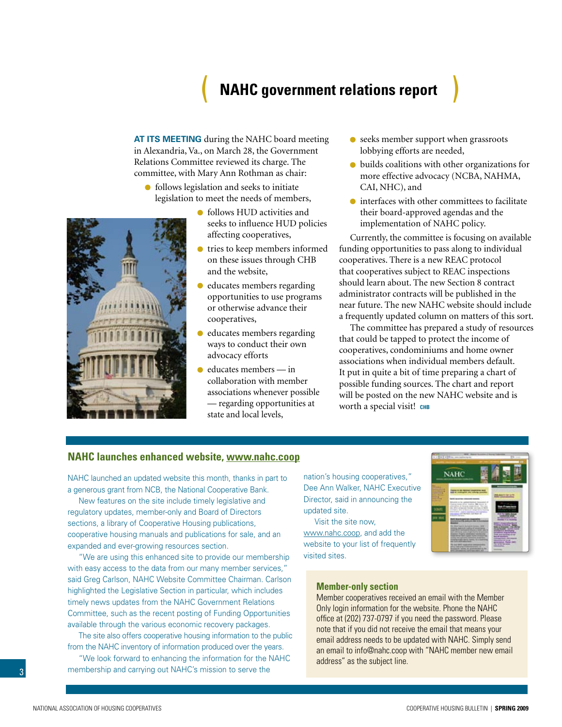## ( **NAHC government relations report** )

<span id="page-2-0"></span>**At its meeting** during the NAHC board meeting in Alexandria, Va., on March 28, the Government Relations Committee reviewed its charge. The committee, with Mary Ann Rothman as chair:

- follows legislation and seeks to initiate legislation to meet the needs of members,
	- follows HUD activities and seeks to influence HUD policies affecting cooperatives,
	- tries to keep members informed on these issues through CHB and the website,
	- $\bullet$ educates members regarding opportunities to use programs or otherwise advance their cooperatives,
	- educates members regarding ways to conduct their own advocacy efforts
	- $\bullet$  educates members in collaboration with member associations whenever possible — regarding opportunities at state and local levels,
- **•** seeks member support when grassroots lobbying efforts are needed,
- builds coalitions with other organizations for more effective advocacy (NCBA, NAHMA, CAI, NHC), and
- $\bullet$  interfaces with other committees to facilitate their board-approved agendas and the implementation of NAHC policy.

Currently, the committee is focusing on available funding opportunities to pass along to individual cooperatives. There is a new REAC protocol that cooperatives subject to REAC inspections should learn about. The new Section 8 contract administrator contracts will be published in the near future. The new NAHC website should include a frequently updated column on matters of this sort.

The committee has prepared a study of resources that could be tapped to protect the income of cooperatives, condominiums and home owner associations when individual members default. It put in quite a bit of time preparing a chart of possible funding sources. The chart and report will be posted on the new NAHC website and is worth a special visit! **CHB** 



NAHC launched an updated website this month, thanks in part to a generous grant from NCB, the National Cooperative Bank.

New features on the site include timely legislative and regulatory updates, member-only and Board of Directors sections, a library of Cooperative Housing publications, cooperative housing manuals and publications for sale, and an expanded and ever-growing resources section.

"We are using this enhanced site to provide our membership with easy access to the data from our many member services," said Greg Carlson, NAHC Website Committee Chairman. Carlson highlighted the Legislative Section in particular, which includes timely news updates from the NAHC Government Relations Committee, such as the recent posting of Funding Opportunities available through the various economic recovery packages.

The site also offers cooperative housing information to the public from the NAHC inventory of information produced over the years.

"We look forward to enhancing the information for the NAHC membership and carrying out NAHC's mission to serve the

nation's housing cooperatives," Dee Ann Walker, NAHC Executive Director, said in announcing the updated site.

Visit the site now[,](www.nahc.coop)  www.nahc.coop, and add the website to your list of frequently visited sites.



### **Member-only section**

Member cooperatives received an email with the Member Only login information for the website. Phone the NAHC office at (202) 737-0797 if you need the password. Please note that if you did not receive the email that means your email address needs to be updated with NAHC. Simply send an email to info@nahc.coop with "NAHC member new email address" as the subject line.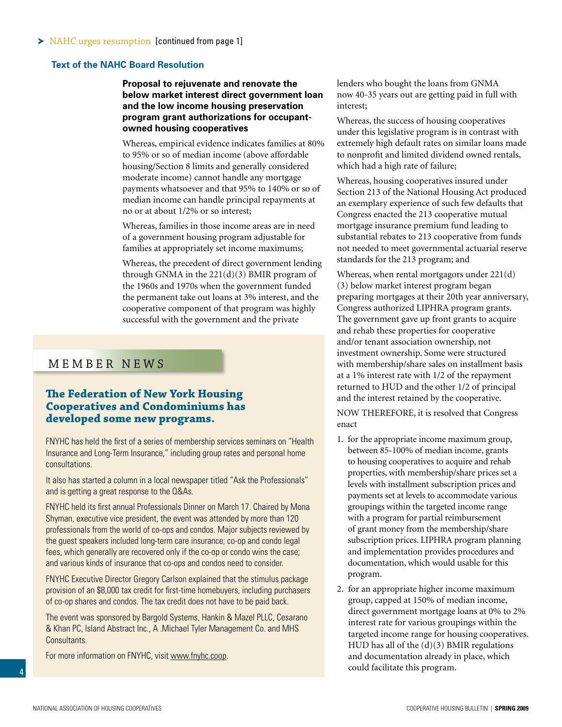<span id="page-3-0"></span>NAHC urges resumption [\[continued from page 1\]](#page-0-0)

### **Text of the NAHC Board Resolution**

### **Proposal to rejuvenate and renovate the below market interest direct government loan and the low income housing preservation program grant authorizations for occupantowned housing cooperatives**

Whereas, empirical evidence indicates families at 80% to 95% or so of median income (above affordable housing/Section 8 limits and generally considered moderate income) cannot handle any mortgage payments whatsoever and that 95% to 140% or so of median income can handle principal repayments at no or at about 1/2% or so interest;

Whereas, families in those income areas are in need of a government housing program adjustable for families at appropriately set income maximums;

Whereas, the precedent of direct government lending through GNMA in the 221(d)(3) BMIR program of the 1960s and 1970s when the government funded the permanent take out loans at 3% interest, and the cooperative component of that program was highly successful with the government and the private

### MEMBER NEWS

### **The Federation of New York Housing Cooperatives and Condominiums has developed some new programs.**

FNYHC has held the first of a series of membership services seminars on "Health Insurance and Long-Term Insurance," including group rates and personal home consultations.

It also has started a column in a local newspaper titled "Ask the Professionals" and is getting a great response to the Q&As.

FNYHC held its first annual Professionals Dinner on March 17. Chaired by Mona Shyman, executive vice president, the event was attended by more than 120 professionals from the world of co-ops and condos. Major subjects reviewed by the guest speakers included long-term care insurance; co-op and condo legal fees, which generally are recovered only if the co-op or condo wins the case; and various kinds of insurance that co-ops and condos need to consider.

FNYHC Executive Director Gregory Carlson explained that the stimulus package provision of an \$8,000 tax credit for first-time homebuyers, including purchasers of co-op shares and condos. The tax credit does not have to be paid back.

The event was sponsored by Bargold Systems, Hankin & Mazel PLLC, Cesarano & Khan PC, Island Abstract Inc., A .Michael Tyler Management Co. and MHS Consultants.

For more information on FNYHC, visit www.fnyhc.coop.

lenders who bought the loans from GNMA now 40-35 years out are getting paid in full with interest;

Whereas, the success of housing cooperatives under this legislative program is in contrast with extremely high default rates on similar loans made to nonprofit and limited dividend owned rentals, which had a high rate of failure;

Whereas, housing cooperatives insured under Section 213 of the National Housing Act produced an exemplary experience of such few defaults that Congress enacted the 213 cooperative mutual mortgage insurance premium fund leading to substantial rebates to 213 cooperative from funds not needed to meet governmental actuarial reserve standards for the 213 program; and

Whereas, when rental mortgagors under 221(d) (3) below market interest program began preparing mortgages at their 20th year anniversary, Congress authorized LIPHRA program grants. The government gave up front grants to acquire and rehab these properties for cooperative and/or tenant association ownership, not investment ownership. Some were structured with membership/share sales on installment basis at a 1% interest rate with 1/2 of the repayment returned to HUD and the other 1/2 of principal and the interest retained by the cooperative.

NOW THEREFORE, it is resolved that Congress enact

- 1. for the appropriate income maximum group, between 85-100% of median income, grants to housing cooperatives to acquire and rehab properties, with membership/share prices set a levels with installment subscription prices and payments set at levels to accommodate various groupings within the targeted income range with a program for partial reimbursement of grant money from the membership/share subscription prices. LIPHRA program planning and implementation provides procedures and documentation, which would usable for this program.
- 2. for an appropriate higher income maximum group, capped at 150% of median income, direct government mortgage loans at 0% to 2% interest rate for various groupings within the targeted income range for housing cooperatives. HUD has all of the (d)(3) BMIR regulations and documentation already in place, which could facilitate this program.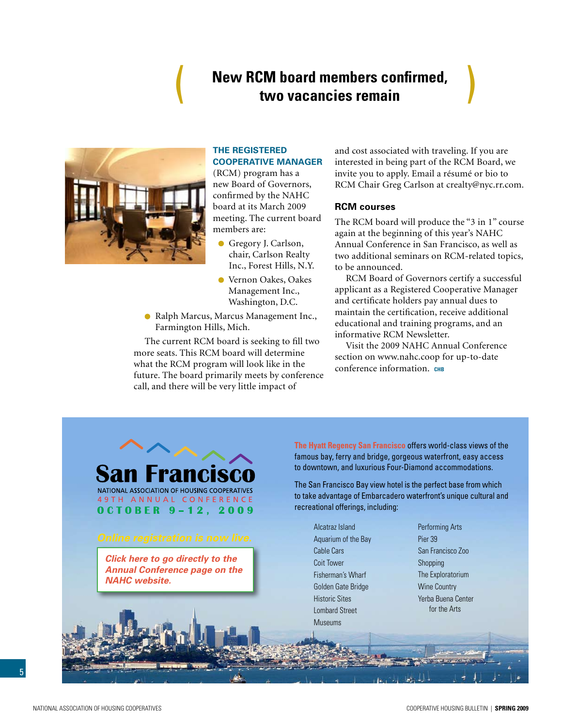## **New RCM board members confirmed, two vacancies remain**

<span id="page-4-0"></span>

### **The Registered Cooperative Manager**

(RCM) program has a new Board of Governors, confirmed by the NAHC board at its March 2009 meeting. The current board members are:

- Gregory J. Carlson, chair, Carlson Realty Inc., Forest Hills, N.Y.
- Vernon Oakes, Oakes Management Inc., Washington, D.C.
- Ralph Marcus, Marcus Management Inc., Farmington Hills, Mich.

The current RCM board is seeking to fill two more seats. This RCM board will determine what the RCM program will look like in the future. The board primarily meets by conference call, and there will be very little impact of

and cost associated with traveling. If you are interested in being part of the RCM Board, we invite you to apply. Email a résumé or bio to RCM Chair Greg Carlson at crealty@nyc.rr.com.

### **RCM courses**

The RCM board will produce the "3 in 1" course again at the beginning of this year's NAHC Annual Conference in San Francisco, as well as two additional seminars on RCM-related topics, to be announced.

RCM Board of Governors certify a successful applicant as a Registered Cooperative Manager and certificate holders pay annual dues to maintain the certification, receive additional educational and training programs, and an informative RCM Newsletter.

Visit the 2009 NAHC Annual Conference section on www.nahc.coop for up-to-date conference information. **chb**



**OCTOBER 9-12, 2009** 

*Click here to go directly to the [Annual Conference page on the](www.coophousing.org/DisplayPage.aspx?id=120&bMenu=78&bItem=120)  NAHC website.* 

**The Hyatt Regency San Francisco** offers world-class views of the famous bay, ferry and bridge, gorgeous waterfront, easy access to downtown, and luxurious Four-Diamond accommodations.

The San Francisco Bay view hotel is the perfect base from which to take advantage of Embarcadero waterfront's unique cultural and recreational offerings, including:

Alcatraz Island Aquarium of the Bay Cable Cars Coit Tower Fisherman's Wharf Golden Gate Bridge Historic Sites Lombard Street Museums

Performing Arts Pier 39 San Francisco Zoo Shopping The Exploratorium Wine Country Yerba Buena Center for the Arts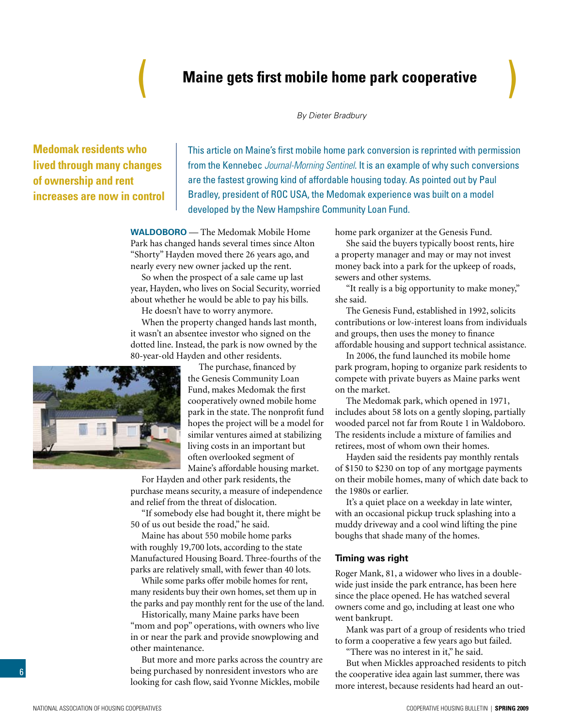## **Maine gets first mobile home park cooperative**

*By Dieter Bradbury*

## <span id="page-5-0"></span>**Medomak residents who lived through many changes of ownership and rent increases are now in control**

This article on Maine's first mobile home park conversion is reprinted with permission from the Kennebec *Journal-Morning Sentinel*. It is an example of why such conversions are the fastest growing kind of affordable housing today. As pointed out by Paul Bradley, president of ROC USA, the Medomak experience was built on a model developed by the New Hampshire Community Loan Fund.

**WALDOBORO** — The Medomak Mobile Home Park has changed hands several times since Alton "Shorty" Hayden moved there 26 years ago, and nearly every new owner jacked up the rent.

So when the prospect of a sale came up last year, Hayden, who lives on Social Security, worried about whether he would be able to pay his bills.

He doesn't have to worry anymore.

When the property changed hands last month, it wasn't an absentee investor who signed on the dotted line. Instead, the park is now owned by the 80-year-old Hayden and other residents.

> The purchase, financed by the Genesis Community Loan Fund, makes Medomak the first cooperatively owned mobile home park in the state. The nonprofit fund hopes the project will be a model for similar ventures aimed at stabilizing living costs in an important but often overlooked segment of Maine's affordable housing market.

For Hayden and other park residents, the purchase means security, a measure of independence and relief from the threat of dislocation.

"If somebody else had bought it, there might be 50 of us out beside the road," he said.

Maine has about 550 mobile home parks with roughly 19,700 lots, according to the state Manufactured Housing Board. Three-fourths of the parks are relatively small, with fewer than 40 lots.

While some parks offer mobile homes for rent, many residents buy their own homes, set them up in the parks and pay monthly rent for the use of the land.

Historically, many Maine parks have been "mom and pop" operations, with owners who live in or near the park and provide snowplowing and other maintenance.

But more and more parks across the country are being purchased by nonresident investors who are looking for cash flow, said Yvonne Mickles, mobile

home park organizer at the Genesis Fund.

She said the buyers typically boost rents, hire a property manager and may or may not invest money back into a park for the upkeep of roads, sewers and other systems.

"It really is a big opportunity to make money," she said.

The Genesis Fund, established in 1992, solicits contributions or low-interest loans from individuals and groups, then uses the money to finance affordable housing and support technical assistance.

In 2006, the fund launched its mobile home park program, hoping to organize park residents to compete with private buyers as Maine parks went on the market.

The Medomak park, which opened in 1971, includes about 58 lots on a gently sloping, partially wooded parcel not far from Route 1 in Waldoboro. The residents include a mixture of families and retirees, most of whom own their homes.

Hayden said the residents pay monthly rentals of \$150 to \$230 on top of any mortgage payments on their mobile homes, many of which date back to the 1980s or earlier.

It's a quiet place on a weekday in late winter, with an occasional pickup truck splashing into a muddy driveway and a cool wind lifting the pine boughs that shade many of the homes.

### **Timing was right**

Roger Mank, 81, a widower who lives in a doublewide just inside the park entrance, has been here since the place opened. He has watched several owners come and go, including at least one who went bankrupt.

Mank was part of a group of residents who tried to form a cooperative a few years ago but failed.

"There was no interest in it," he said.

But when Mickles approached residents to pitch the cooperative idea again last summer, there was more interest, because residents had heard an out-

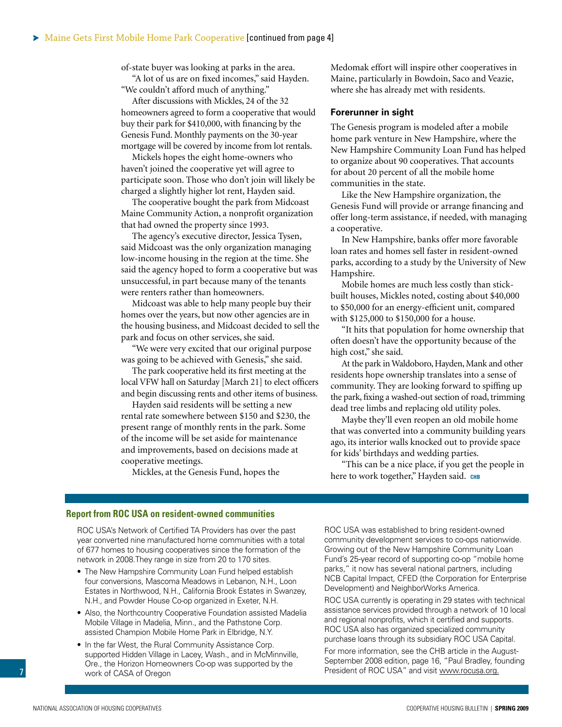of-state buyer was looking at parks in the area.

"A lot of us are on fixed incomes," said Hayden. "We couldn't afford much of anything."

After discussions with Mickles, 24 of the 32 homeowners agreed to form a cooperative that would buy their park for \$410,000, with financing by the Genesis Fund. Monthly payments on the 30-year mortgage will be covered by income from lot rentals.

Mickels hopes the eight home-owners who haven't joined the cooperative yet will agree to participate soon. Those who don't join will likely be charged a slightly higher lot rent, Hayden said.

The cooperative bought the park from Midcoast Maine Community Action, a nonprofit organization that had owned the property since 1993.

The agency's executive director, Jessica Tysen, said Midcoast was the only organization managing low-income housing in the region at the time. She said the agency hoped to form a cooperative but was unsuccessful, in part because many of the tenants were renters rather than homeowners.

Midcoast was able to help many people buy their homes over the years, but now other agencies are in the housing business, and Midcoast decided to sell the park and focus on other services, she said.

"We were very excited that our original purpose was going to be achieved with Genesis," she said.

The park cooperative held its first meeting at the local VFW hall on Saturday [March 21] to elect officers and begin discussing rents and other items of business.

Hayden said residents will be setting a new rental rate somewhere between \$150 and \$230, the present range of monthly rents in the park. Some of the income will be set aside for maintenance and improvements, based on decisions made at cooperative meetings.

Mickles, at the Genesis Fund, hopes the

Medomak effort will inspire other cooperatives in Maine, particularly in Bowdoin, Saco and Veazie, where she has already met with residents.

### **Forerunner in sight**

The Genesis program is modeled after a mobile home park venture in New Hampshire, where the New Hampshire Community Loan Fund has helped to organize about 90 cooperatives. That accounts for about 20 percent of all the mobile home communities in the state.

Like the New Hampshire organization, the Genesis Fund will provide or arrange financing and offer long-term assistance, if needed, with managing a cooperative.

In New Hampshire, banks offer more favorable loan rates and homes sell faster in resident-owned parks, according to a study by the University of New Hampshire.

Mobile homes are much less costly than stickbuilt houses, Mickles noted, costing about \$40,000 to \$50,000 for an energy-efficient unit, compared with \$125,000 to \$150,000 for a house.

"It hits that population for home ownership that often doesn't have the opportunity because of the high cost," she said.

At the park in Waldoboro, Hayden, Mank and other residents hope ownership translates into a sense of community. They are looking forward to spiffing up the park, fixing a washed-out section of road, trimming dead tree limbs and replacing old utility poles.

Maybe they'll even reopen an old mobile home that was converted into a community building years ago, its interior walls knocked out to provide space for kids' birthdays and wedding parties.

"This can be a nice place, if you get the people in here to work together," Hayden said. CHB

### **Report from ROC USA on resident-owned communities**

ROC USA's Network of Certified TA Providers has over the past year converted nine manufactured home communities with a total of 677 homes to housing cooperatives since the formation of the network in 2008.They range in size from 20 to 170 sites.

- The New Hampshire Community Loan Fund helped establish four conversions, Mascoma Meadows in Lebanon, N.H., Loon Estates in Northwood, N.H., California Brook Estates in Swanzey, N.H., and Powder House Co-op organized in Exeter, N.H.
- Also, the Northcountry Cooperative Foundation assisted Madelia Mobile Village in Madelia, Minn., and the Pathstone Corp. assisted Champion Mobile Home Park in Elbridge, N.Y.
- In the far West, the Rural Community Assistance Corp. supported Hidden Village in Lacey, Wash., and in McMinnville, Ore., the Horizon Homeowners Co-op was supported by the work of CASA of Oregon

ROC USA was established to bring resident-owned community development services to co-ops nationwide. Growing out of the New Hampshire Community Loan Fund's 25-year record of supporting co-op "mobile home parks," it now has several national partners, including NCB Capital Impact, CFED (the Corporation for Enterprise Development) and NeighborWorks America.

ROC USA currently is operating in 29 states with technical assistance services provided through a network of 10 local and regional nonprofits, which it certified and supports. ROC USA also has organized specialized community purchase loans through its subsidiary ROC USA Capital.

For more information, see the CHB article in the August-September 2008 edition, page 16, "Paul Bradley, founding President of ROC USA" and visit www.rocusa.org.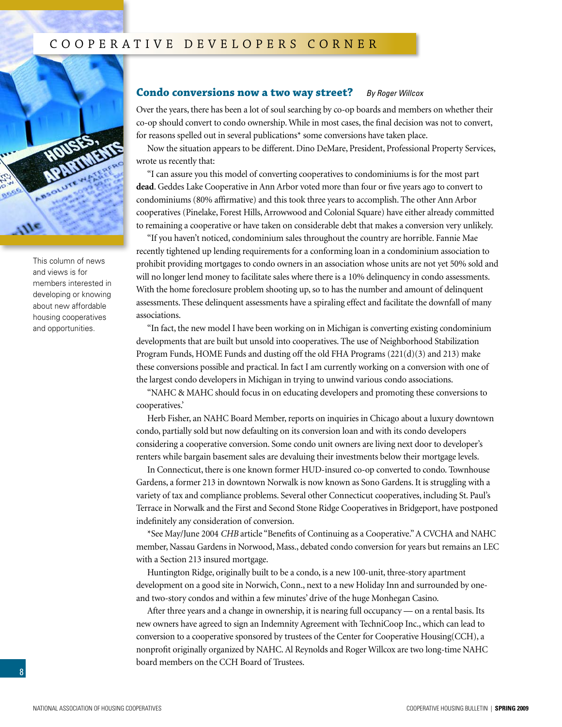<span id="page-7-0"></span>

This column of news and views is for members interested in developing or knowing about new affordable housing cooperatives and opportunities.

### **Condo conversions now a two way street?** *By Roger Willcox*

Over the years, there has been a lot of soul searching by co-op boards and members on whether their co-op should convert to condo ownership. While in most cases, the final decision was not to convert, for reasons spelled out in several publications\* some conversions have taken place.

Now the situation appears to be different. Dino DeMare, President, Professional Property Services, wrote us recently that:

"I can assure you this model of converting cooperatives to condominiums is for the most part **dead**. Geddes Lake Cooperative in Ann Arbor voted more than four or five years ago to convert to condominiums (80% affirmative) and this took three years to accomplish. The other Ann Arbor cooperatives (Pinelake, Forest Hills, Arrowwood and Colonial Square) have either already committed to remaining a cooperative or have taken on considerable debt that makes a conversion very unlikely.

"If you haven't noticed, condominium sales throughout the country are horrible. Fannie Mae recently tightened up lending requirements for a conforming loan in a condominium association to prohibit providing mortgages to condo owners in an association whose units are not yet 50% sold and will no longer lend money to facilitate sales where there is a 10% delinquency in condo assessments. With the home foreclosure problem shooting up, so to has the number and amount of delinquent assessments. These delinquent assessments have a spiraling effect and facilitate the downfall of many associations.

"In fact, the new model I have been working on in Michigan is converting existing condominium developments that are built but unsold into cooperatives. The use of Neighborhood Stabilization Program Funds, HOME Funds and dusting off the old FHA Programs  $(221(d)(3)$  and 213) make these conversions possible and practical. In fact I am currently working on a conversion with one of the largest condo developers in Michigan in trying to unwind various condo associations.

"NAHC & MAHC should focus in on educating developers and promoting these conversions to cooperatives.'

Herb Fisher, an NAHC Board Member, reports on inquiries in Chicago about a luxury downtown condo, partially sold but now defaulting on its conversion loan and with its condo developers considering a cooperative conversion. Some condo unit owners are living next door to developer's renters while bargain basement sales are devaluing their investments below their mortgage levels.

In Connecticut, there is one known former HUD-insured co-op converted to condo. Townhouse Gardens, a former 213 in downtown Norwalk is now known as Sono Gardens. It is struggling with a variety of tax and compliance problems. Several other Connecticut cooperatives, including St. Paul's Terrace in Norwalk and the First and Second Stone Ridge Cooperatives in Bridgeport, have postponed indefinitely any consideration of conversion.

\*See May/June 2004 *CHB* article "Benefits of Continuing as a Cooperative." A CVCHA and NAHC member, Nassau Gardens in Norwood, Mass., debated condo conversion for years but remains an LEC with a Section 213 insured mortgage.

Huntington Ridge, originally built to be a condo, is a new 100-unit, three-story apartment development on a good site in Norwich, Conn., next to a new Holiday Inn and surrounded by oneand two-story condos and within a few minutes' drive of the huge Monhegan Casino.

After three years and a change in ownership, it is nearing full occupancy — on a rental basis. Its new owners have agreed to sign an Indemnity Agreement with TechniCoop Inc., which can lead to conversion to a cooperative sponsored by trustees of the Center for Cooperative Housing(CCH), a nonprofit originally organized by NAHC. Al Reynolds and Roger Willcox are two long-time NAHC board members on the CCH Board of Trustees.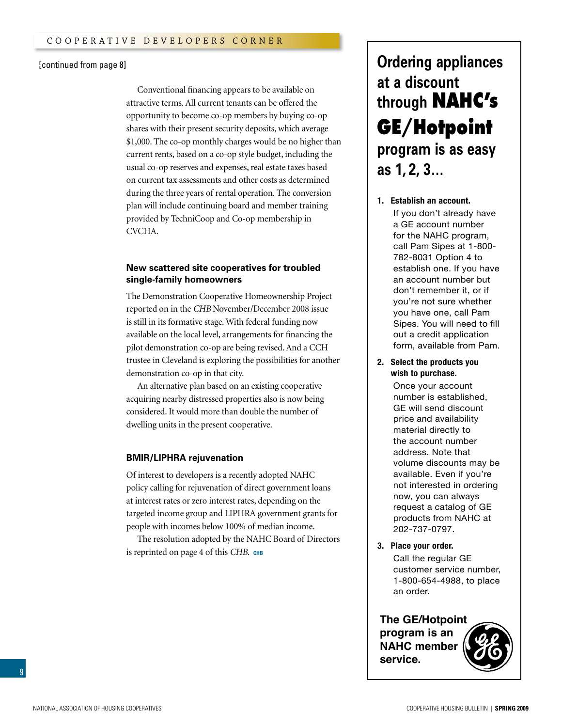#### [\[continued from page 8\]](#page-7-0)

Conventional financing appears to be available on attractive terms. All current tenants can be offered the opportunity to become co-op members by buying co-op shares with their present security deposits, which average \$1,000. The co-op monthly charges would be no higher than current rents, based on a co-op style budget, including the usual co-op reserves and expenses, real estate taxes based on current tax assessments and other costs as determined during the three years of rental operation. The conversion plan will include continuing board and member training provided by TechniCoop and Co-op membership in CVCHA.

### **New scattered site cooperatives for troubled single-family homeowners**

The Demonstration Cooperative Homeownership Project reported on in the *CHB* November/December 2008 issue is still in its formative stage. With federal funding now available on the local level, arrangements for financing the pilot demonstration co-op are being revised. And a CCH trustee in Cleveland is exploring the possibilities for another demonstration co-op in that city.

An alternative plan based on an existing cooperative acquiring nearby distressed properties also is now being considered. It would more than double the number of dwelling units in the present cooperative.

#### **BMIR/LIPHRA rejuvenation**

Of interest to developers is a recently adopted NAHC policy calling for rejuvenation of direct government loans at interest rates or zero interest rates, depending on the targeted income group and LIPHRA government grants for people with incomes below 100% of median income.

The resolution adopted by the NAHC Board of Directors is reprinted on page 4 of this *CHB*. **chb**

## **Ordering appliances at a discount through NAHC's GE/Hotpoint program is as easy as 1, 2, 3…**

### **1. Establish an account. 1. Establish an account.**

Pam Sipes<br>Pamang Sipes you have one, can't am orpes. Tod will need to If you don't already have a If you don't already have a GE account number a call associate names.<br>for the NAHC program, call Pam Sipes at 1-800to establish one. If you have 782-8031 Option 4 to establish one. If you have an account number but don't remember it, or if you're not sure whether you have one, call Pam form, available from Pam. out, a canadia from the film

2. Select the products you wish to purchase.

**2. Select the products you** number is established, **wish to purchase.** GE will send discount price and availability material directly to the account number address. Note that volume discounts may be available. Even if you're available. Even if you're not interested in order rient, you can almost<br>request a catalog of GE products from NAHC at GE products from NAHC at 202-737-0797. 202/01/01 Once your account

**3. Place your order.** 

**3. Place your order.** Call the regular GE Call the regular GE customer service number, customer service number, 1-800-654-4988, to place 1-800-654-4988, to place an order. an order.

### **The GE/Hotpoint**

**program is an NAHC member service.**



9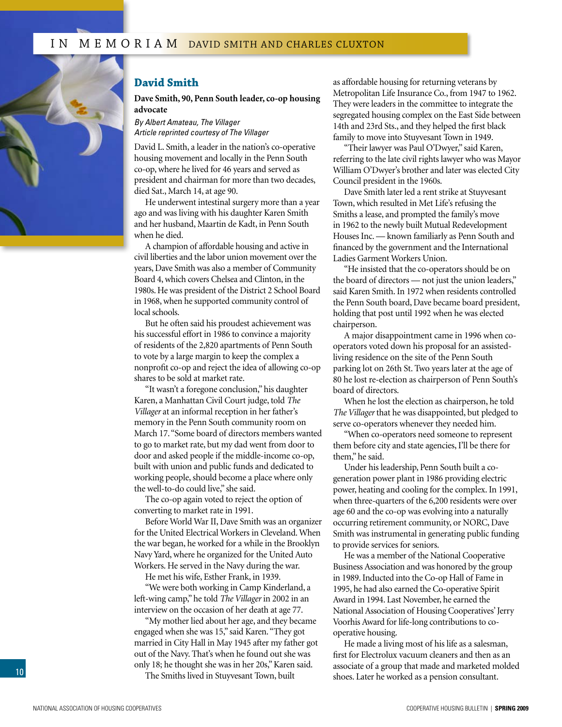<span id="page-9-0"></span>

### **David Smith**

**Dave Smith, 90, Penn South leader, co-op housing advocate**

*By Albert Amateau, The Villager Article reprinted courtesy of The Villager*

David L. Smith, a leader in the nation's co-operative housing movement and locally in the Penn South co-op, where he lived for 46 years and served as president and chairman for more than two decades, died Sat., March 14, at age 90.

He underwent intestinal surgery more than a year ago and was living with his daughter Karen Smith and her husband, Maartin de Kadt, in Penn South when he died.

A champion of affordable housing and active in civil liberties and the labor union movement over the years, Dave Smith was also a member of Community Board 4, which covers Chelsea and Clinton, in the 1980s. He was president of the District 2 School Board in 1968, when he supported community control of local schools.

But he often said his proudest achievement was his successful effort in 1986 to convince a majority of residents of the 2,820 apartments of Penn South to vote by a large margin to keep the complex a nonprofit co-op and reject the idea of allowing co-op shares to be sold at market rate.

"It wasn't a foregone conclusion," his daughter Karen, a Manhattan Civil Court judge, told *The Villager* at an informal reception in her father's memory in the Penn South community room on March 17. "Some board of directors members wanted to go to market rate, but my dad went from door to door and asked people if the middle-income co-op, built with union and public funds and dedicated to working people, should become a place where only the well-to-do could live," she said.

The co-op again voted to reject the option of converting to market rate in 1991.

Before World War II, Dave Smith was an organizer for the United Electrical Workers in Cleveland. When the war began, he worked for a while in the Brooklyn Navy Yard, where he organized for the United Auto Workers. He served in the Navy during the war.

He met his wife, Esther Frank, in 1939.

"We were both working in Camp Kinderland, a left-wing camp," he told *The Villager* in 2002 in an interview on the occasion of her death at age 77.

"My mother lied about her age, and they became engaged when she was 15," said Karen. "They got married in City Hall in May 1945 after my father got out of the Navy. That's when he found out she was only 18; he thought she was in her 20s," Karen said.

The Smiths lived in Stuyvesant Town, built

as affordable housing for returning veterans by Metropolitan Life Insurance Co., from 1947 to 1962. They were leaders in the committee to integrate the segregated housing complex on the East Side between 14th and 23rd Sts., and they helped the first black family to move into Stuyvesant Town in 1949.

"Their lawyer was Paul O'Dwyer," said Karen, referring to the late civil rights lawyer who was Mayor William O'Dwyer's brother and later was elected City Council president in the 1960s.

Dave Smith later led a rent strike at Stuyvesant Town, which resulted in Met Life's refusing the Smiths a lease, and prompted the family's move in 1962 to the newly built Mutual Redevelopment Houses Inc. — known familiarly as Penn South and financed by the government and the International Ladies Garment Workers Union.

"He insisted that the co-operators should be on the board of directors — not just the union leaders," said Karen Smith. In 1972 when residents controlled the Penn South board, Dave became board president, holding that post until 1992 when he was elected chairperson.

A major disappointment came in 1996 when cooperators voted down his proposal for an assistedliving residence on the site of the Penn South parking lot on 26th St. Two years later at the age of 80 he lost re-election as chairperson of Penn South's board of directors.

When he lost the election as chairperson, he told *The Villager* that he was disappointed, but pledged to serve co-operators whenever they needed him.

"When co-operators need someone to represent them before city and state agencies, I'll be there for them," he said.

Under his leadership, Penn South built a cogeneration power plant in 1986 providing electric power, heating and cooling for the complex. In 1991, when three-quarters of the 6,200 residents were over age 60 and the co-op was evolving into a naturally occurring retirement community, or NORC, Dave Smith was instrumental in generating public funding to provide services for seniors.

He was a member of the National Cooperative Business Association and was honored by the group in 1989. Inducted into the Co-op Hall of Fame in 1995, he had also earned the Co-operative Spirit Award in 1994. Last November, he earned the National Association of Housing Cooperatives' Jerry Voorhis Award for life-long contributions to cooperative housing.

He made a living most of his life as a salesman, first for Electrolux vacuum cleaners and then as an associate of a group that made and marketed molded shoes. Later he worked as a pension consultant.

10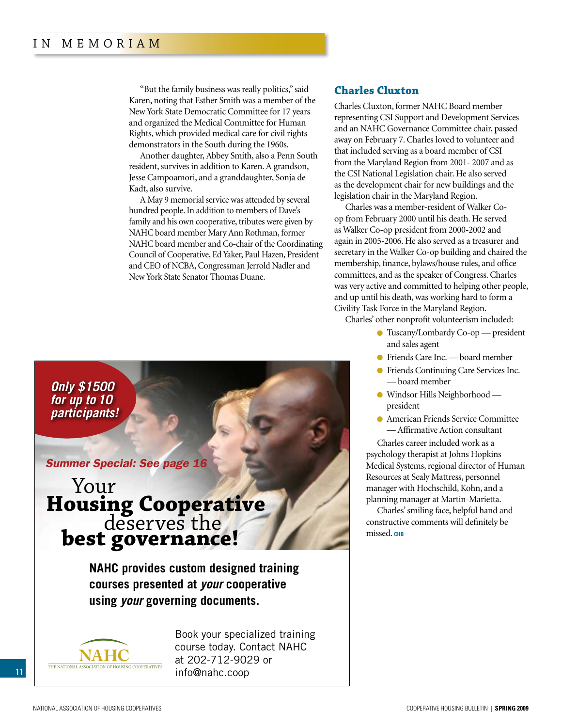"But the family business was really politics," said Karen, noting that Esther Smith was a member of the New York State Democratic Committee for 17 years and organized the Medical Committee for Human Rights, which provided medical care for civil rights demonstrators in the South during the 1960s.

Another daughter, Abbey Smith, also a Penn South resident, survives in addition to Karen. A grandson, Jesse Campoamori, and a granddaughter, Sonja de Kadt, also survive.

A May 9 memorial service was attended by several hundred people. In addition to members of Dave's family and his own cooperative, tributes were given by NAHC board member Mary Ann Rothman, former NAHC board member and Co-chair of the Coordinating Council of Cooperative, Ed Yaker, Paul Hazen, President and CEO of NCBA, Congressman Jerrold Nadler and New York State Senator Thomas Duane.

### **Charles Cluxton**

Charles Cluxton, former NAHC Board member representing CSI Support and Development Services and an NAHC Governance Committee chair, passed away on February 7. Charles loved to volunteer and that included serving as a board member of CSI from the Maryland Region from 2001- 2007 and as the CSI National Legislation chair. He also served as the development chair for new buildings and the legislation chair in the Maryland Region.

Charles was a member-resident of Walker Coop from February 2000 until his death. He served as Walker Co-op president from 2000-2002 and again in 2005-2006. He also served as a treasurer and secretary in the Walker Co-op building and chaired the membership, finance, bylaws/house rules, and office committees, and as the speaker of Congress. Charles was very active and committed to helping other people, and up until his death, was working hard to form a Civility Task Force in the Maryland Region.

Charles' other nonprofit volunteerism included:

- Tuscany/Lombardy Co-op president and sales agent
- Friends Care Inc. board member
- Friends Continuing Care Services Inc. — board member
- Windsor Hills Neighborhood president
- American Friends Service Committee — Affirmative Action consultant

Charles career included work as a psychology therapist at Johns Hopkins Medical Systems, regional director of Human Resources at Sealy Mattress, personnel manager with Hochschild, Kohn, and a planning manager at Martin-Marietta.

Charles' smiling face, helpful hand and constructive comments will definitely be missed. CHB

*Only \$1500 for up to 10 participants!*

### *[Summer Special: See page 16](#page-15-0)*

# Your **Housing Cooperative** deserves the **best governance!**

**NAHC provides custom designed training courses presented at** *your* **cooperative using** *your* **governing documents.**

.



Book your specialized training course today. Contact NAHC at 202-712-9029 or [info@nahc.coop](mailto:info@nahc.coop)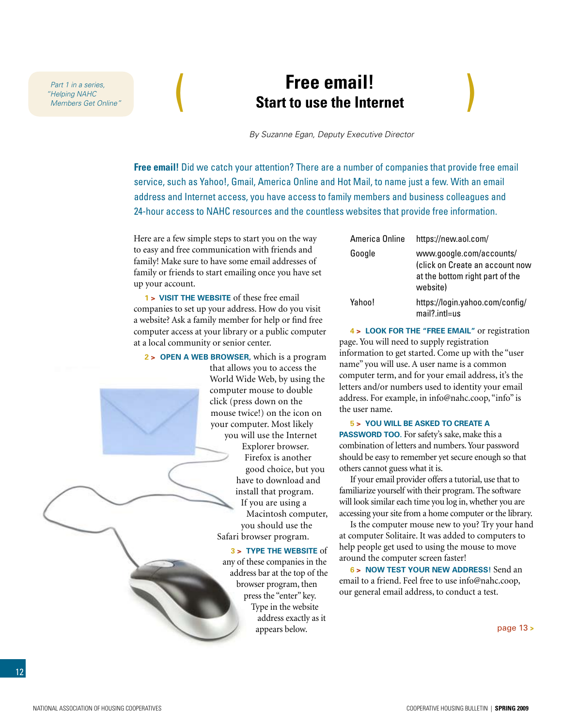*"Helping NAHC Members Get Online"*

## <span id="page-11-0"></span>**Free email!**  Part 1 in a series,<br> *"Helping NAHC* **Start to use the Internet** *Members Get Online"*

*By Suzanne Egan, Deputy Executive Director*

**Free email!** Did we catch your attention? There are a number of companies that provide free email service, such as Yahoo!, Gmail, America Online and Hot Mail, to name just a few. With an email address and Internet access, you have access to family members and business colleagues and 24-hour access to NAHC resources and the countless websites that provide free information.

Here are a few simple steps to start you on the way to easy and free communication with friends and family! Make sure to have some email addresses of family or friends to start emailing once you have set up your account.

**1 > Visit the website** of these free email companies to set up your address. How do you visit a website? Ask a family member for help or find free computer access at your library or a public computer at a local community or senior center.

**2 > Open a web browser,** which is a program that allows you to access the World Wide Web, by using the computer mouse to double click (press down on the mouse twice!) on the icon on your computer. Most likely you will use the Internet Explorer browser. Firefox is another good choice, but you have to download and install that program. If you are using a Macintosh computer, you should use the Safari browser program.

> **3 > Type the website** of any of these companies in the address bar at the top of the browser program, then press the "enter" key. Type in the website address exactly as it appears below.

| America Online | https://new.aol.com/                                                                                       |
|----------------|------------------------------------------------------------------------------------------------------------|
| Google         | www.google.com/accounts/<br>(click on Create an account now<br>at the bottom right part of the<br>website) |
| Yahoo!         | https://login.yahoo.com/config/<br>$mail?$ int $l = us$                                                    |

**4 > Look for the "free email"** or registration page. You will need to supply registration information to get started. Come up with the "user name" you will use. A user name is a common computer term, and for your email address, it's the letters and/or numbers used to identity your email address. For example, in info@nahc.coop, "info" is the user name.

### **5 > You will be asked to create a**

**PASSWORD TOO.** For safety's sake, make this a combination of letters and numbers. Your password should be easy to remember yet secure enough so that others cannot guess what it is.

If your email provider offers a tutorial, use that to familiarize yourself with their program. The software will look similar each time you log in, whether you are accessing your site from a home computer or the library.

Is the computer mouse new to you? Try your hand at computer Solitaire. It was added to computers to help people get used to using the mouse to move around the computer screen faster!

**6 > Now test your new address!** Send an email to a friend. Feel free to use info@nahc.coop, our general email address, to conduct a test.

[page 13](#page-12-0) **>**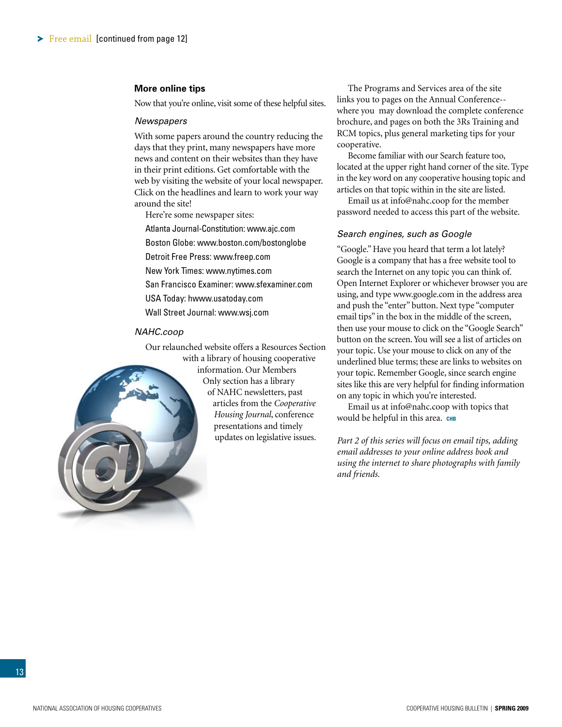### <span id="page-12-0"></span>**More online tips**

Now that you're online, visit some of these helpful sites.

### *Newspapers*

With some papers around the country reducing the days that they print, many newspapers have more news and content on their websites than they have in their print editions. Get comfortable with the web by visiting the website of your local newspaper. Click on the headlines and learn to work your way around the site!

Here're some newspaper sites:

Atlanta Journal-Constitution: www.ajc.com

Boston Globe: www.boston.com/bostonglobe

Detroit Free Press: www.freep.com

New York Times: www.nytimes.com

San Francisco Examiner: www.sfexaminer.com

USA Today: hwww.usatoday.com

Wall Street Journal: www.wsj.com

### *NAHC.coop*

Our relaunched website offers a Resources Section with a library of housing cooperative

information. Our Members Only section has a library of NAHC newsletters, past articles from the *Cooperative Housing Journal*, conference presentations and timely updates on legislative issues.

The Programs and Services area of the site links you to pages on the Annual Conference- where you may download the complete conference brochure, and pages on both the 3Rs Training and RCM topics, plus general marketing tips for your cooperative.

Become familiar with our Search feature too, located at the upper right hand corner of the site. Type in the key word on any cooperative housing topic and articles on that topic within in the site are listed.

Email us at info@nahc.coop for the member password needed to access this part of the website.

#### *Search engines, such as Google*

"Google." Have you heard that term a lot lately? Google is a company that has a free website tool to search the Internet on any topic you can think of. Open Internet Explorer or whichever browser you are using, and type www.google.com in the address area and push the "enter" button. Next type "computer email tips" in the box in the middle of the screen, then use your mouse to click on the "Google Search" button on the screen. You will see a list of articles on your topic. Use your mouse to click on any of the underlined blue terms; these are links to websites on your topic. Remember Google, since search engine sites like this are very helpful for finding information on any topic in which you're interested.

Email us at info@nahc.coop with topics that would be helpful in this area. CHB

*Part 2 of this series will focus on email tips, adding email addresses to your online address book and using the internet to share photographs with family and friends.*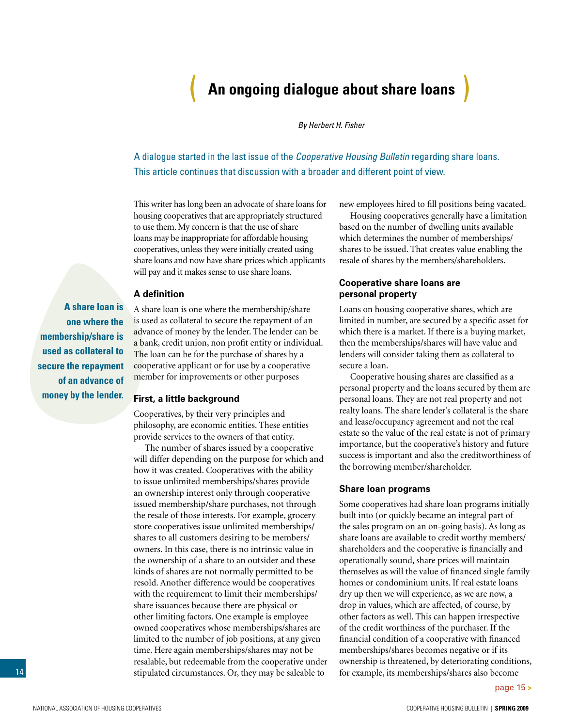## ( **An ongoing dialogue about share loans** )

*By Herbert H. Fisher* 

<span id="page-13-0"></span>A dialogue started in the last issue of the *Cooperative Housing Bulletin* regarding share loans. This article continues that discussion with a broader and different point of view.

This writer has long been an advocate of share loans for housing cooperatives that are appropriately structured to use them. My concern is that the use of share loans may be inappropriate for affordable housing cooperatives, unless they were initially created using share loans and now have share prices which applicants will pay and it makes sense to use share loans.

### **A definition**

**A share loan is one where the membership/share is used as collateral to secure the repayment of an advance of money by the lender.** 

A share loan is one where the membership/share is used as collateral to secure the repayment of an advance of money by the lender. The lender can be a bank, credit union, non profit entity or individual. The loan can be for the purchase of shares by a cooperative applicant or for use by a cooperative member for improvements or other purposes

### **First, a little background**

Cooperatives, by their very principles and philosophy, are economic entities. These entities provide services to the owners of that entity.

The number of shares issued by a cooperative will differ depending on the purpose for which and how it was created. Cooperatives with the ability to issue unlimited memberships/shares provide an ownership interest only through cooperative issued membership/share purchases, not through the resale of those interests. For example, grocery store cooperatives issue unlimited memberships/ shares to all customers desiring to be members/ owners. In this case, there is no intrinsic value in the ownership of a share to an outsider and these kinds of shares are not normally permitted to be resold. Another difference would be cooperatives with the requirement to limit their memberships/ share issuances because there are physical or other limiting factors. One example is employee owned cooperatives whose memberships/shares are limited to the number of job positions, at any given time. Here again memberships/shares may not be resalable, but redeemable from the cooperative under stipulated circumstances. Or, they may be saleable to

new employees hired to fill positions being vacated.

Housing cooperatives generally have a limitation based on the number of dwelling units available which determines the number of memberships/ shares to be issued. That creates value enabling the resale of shares by the members/shareholders.

### **Cooperative share loans are personal property**

Loans on housing cooperative shares, which are limited in number, are secured by a specific asset for which there is a market. If there is a buying market, then the memberships/shares will have value and lenders will consider taking them as collateral to secure a loan.

Cooperative housing shares are classified as a personal property and the loans secured by them are personal loans. They are not real property and not realty loans. The share lender's collateral is the share and lease/occupancy agreement and not the real estate so the value of the real estate is not of primary importance, but the cooperative's history and future success is important and also the creditworthiness of the borrowing member/shareholder.

#### **Share loan programs**

Some cooperatives had share loan programs initially built into (or quickly became an integral part of the sales program on an on-going basis). As long as share loans are available to credit worthy members/ shareholders and the cooperative is financially and operationally sound, share prices will maintain themselves as will the value of financed single family homes or condominium units. If real estate loans dry up then we will experience, as we are now, a drop in values, which are affected, of course, by other factors as well. This can happen irrespective of the credit worthiness of the purchaser. If the financial condition of a cooperative with financed memberships/shares becomes negative or if its ownership is threatened, by deteriorating conditions, for example, its memberships/shares also become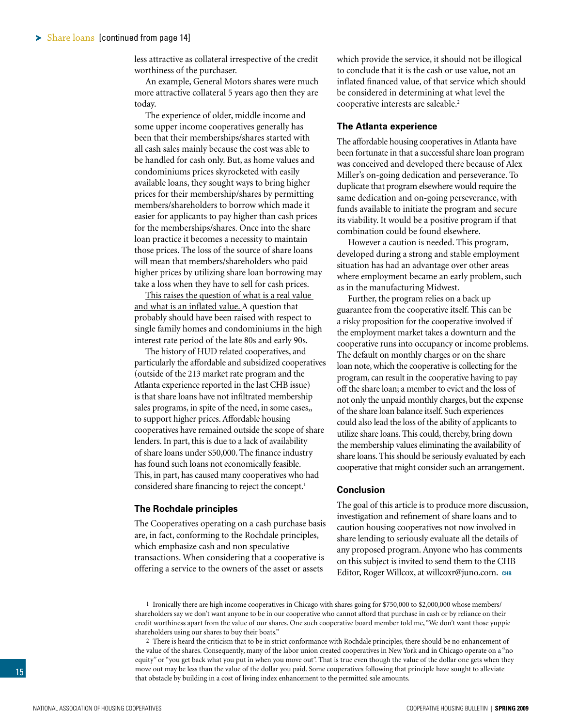<span id="page-14-0"></span>less attractive as collateral irrespective of the credit worthiness of the purchaser.

An example, General Motors shares were much more attractive collateral 5 years ago then they are today.

The experience of older, middle income and some upper income cooperatives generally has been that their memberships/shares started with all cash sales mainly because the cost was able to be handled for cash only. But, as home values and condominiums prices skyrocketed with easily available loans, they sought ways to bring higher prices for their membership/shares by permitting members/shareholders to borrow which made it easier for applicants to pay higher than cash prices for the memberships/shares. Once into the share loan practice it becomes a necessity to maintain those prices. The loss of the source of share loans will mean that members/shareholders who paid higher prices by utilizing share loan borrowing may take a loss when they have to sell for cash prices.

This raises the question of what is a real value and what is an inflated value. A question that probably should have been raised with respect to single family homes and condominiums in the high interest rate period of the late 80s and early 90s.

The history of HUD related cooperatives, and particularly the affordable and subsidized cooperatives (outside of the 213 market rate program and the Atlanta experience reported in the last CHB issue) is that share loans have not infiltrated membership sales programs, in spite of the need, in some cases,, to support higher prices. Affordable housing cooperatives have remained outside the scope of share lenders. In part, this is due to a lack of availability of share loans under \$50,000. The finance industry has found such loans not economically feasible. This, in part, has caused many cooperatives who had considered share financing to reject the concept.<sup>1</sup>

#### **The Rochdale principles**

The Cooperatives operating on a cash purchase basis are, in fact, conforming to the Rochdale principles, which emphasize cash and non speculative transactions. When considering that a cooperative is offering a service to the owners of the asset or assets

which provide the service, it should not be illogical to conclude that it is the cash or use value, not an inflated financed value, of that service which should be considered in determining at what level the cooperative interests are saleable.<sup>2</sup>

### **The Atlanta experience**

The affordable housing cooperatives in Atlanta have been fortunate in that a successful share loan program was conceived and developed there because of Alex Miller's on-going dedication and perseverance. To duplicate that program elsewhere would require the same dedication and on-going perseverance, with funds available to initiate the program and secure its viability. It would be a positive program if that combination could be found elsewhere.

However a caution is needed. This program, developed during a strong and stable employment situation has had an advantage over other areas where employment became an early problem, such as in the manufacturing Midwest.

Further, the program relies on a back up guarantee from the cooperative itself. This can be a risky proposition for the cooperative involved if the employment market takes a downturn and the cooperative runs into occupancy or income problems. The default on monthly charges or on the share loan note, which the cooperative is collecting for the program, can result in the cooperative having to pay off the share loan; a member to evict and the loss of not only the unpaid monthly charges, but the expense of the share loan balance itself. Such experiences could also lead the loss of the ability of applicants to utilize share loans. This could, thereby, bring down the membership values eliminating the availability of share loans. This should be seriously evaluated by each cooperative that might consider such an arrangement.

### **Conclusion**

The goal of this article is to produce more discussion, investigation and refinement of share loans and to caution housing cooperatives not now involved in share lending to seriously evaluate all the details of any proposed program. Anyone who has comments on this subject is invited to send them to the CHB Editor, Roger Willcox, at [willcoxr@juno.com.](mailto:willcoxr@juno.com) **chb**

1 Ironically there are high income cooperatives in Chicago with shares going for \$750,000 to \$2,000,000 whose members/ shareholders say we don't want anyone to be in our cooperative who cannot afford that purchase in cash or by reliance on their credit worthiness apart from the value of our shares. One such cooperative board member told me, "We don't want those yuppie shareholders using our shares to buy their boats."

2 There is heard the criticism that to be in strict conformance with Rochdale principles, there should be no enhancement of the value of the shares. Consequently, many of the labor union created cooperatives in New York and in Chicago operate on a "no equity" or "you get back what you put in when you move out". That is true even though the value of the dollar one gets when they move out may be less than the value of the dollar you paid. Some cooperatives following that principle have sought to alleviate that obstacle by building in a cost of living index enhancement to the permitted sale amounts.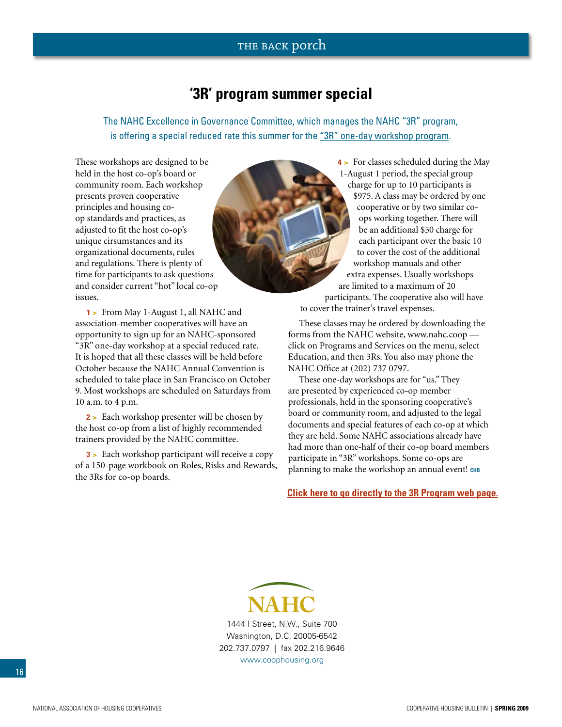### THE BACK porch

## **'3R' program summer special**

<span id="page-15-0"></span>The NAHC Excellence in Governance Committee, which manages the NAHC "3R" program, is offering a special reduced rate this summer for the "3R" one-day workshop program.

These workshops are designed to be held in the host co-op's board or community room. Each workshop presents proven cooperative principles and housing coop standards and practices, as adjusted to fit the host co-op's unique cirsumstances and its organizational documents, rules and regulations. There is plenty of time for participants to ask questions and consider current "hot" local co-op issues.

**1 >** From May 1-August 1, all NAHC and association-member cooperatives will have an opportunity to sign up for an NAHC-sponsored "3R" one-day workshop at a special reduced rate. It is hoped that all these classes will be held before October because the NAHC Annual Convention is scheduled to take place in San Francisco on October 9. Most workshops are scheduled on Saturdays from 10 a.m. to 4 p.m.

**2 >** Each workshop presenter will be chosen by the host co-op from a list of highly recommended trainers provided by the NAHC committee.

**3 >** Each workshop participant will receive a copy of a 150-page workbook on Roles, Risks and Rewards, the 3Rs for co-op boards.

**4 >** For classes scheduled during the May 1-August 1 period, the special group charge for up to 10 participants is \$975. A class may be ordered by one cooperative or by two similar coops working together. There will be an additional \$50 charge for each participant over the basic 10 to cover the cost of the additional workshop manuals and other extra expenses. Usually workshops are limited to a maximum of 20 participants. The cooperative also will have to cover the trainer's travel expenses.

These classes may be ordered by downloading the forms from the NAHC website, www.nahc.coop click on Programs and Services on the menu, select Education, and then 3Rs. You also may phone the NAHC Office at (202) 737 0797.

These one-day workshops are for "us." They are presented by experienced co-op member professionals, held in the sponsoring cooperative's board or community room, and adjusted to the legal documents and special features of each co-op at which they are held. Some NAHC associations already have had more than one-half of their co-op board members participate in "3R" workshops. Some co-ops are planning to make the workshop an annual event! CHB

**[Click here to go directly to the 3R](http://www.coophousing.org/DisplayPage.aspx?id=144&bMenu=88) Program web page.**

**NAHC** 1444 I Street, N.W., Suite 700 Washington, D.C. 20005-6542 202.737.0797 | fax 202.216.9646 www.coophousing.org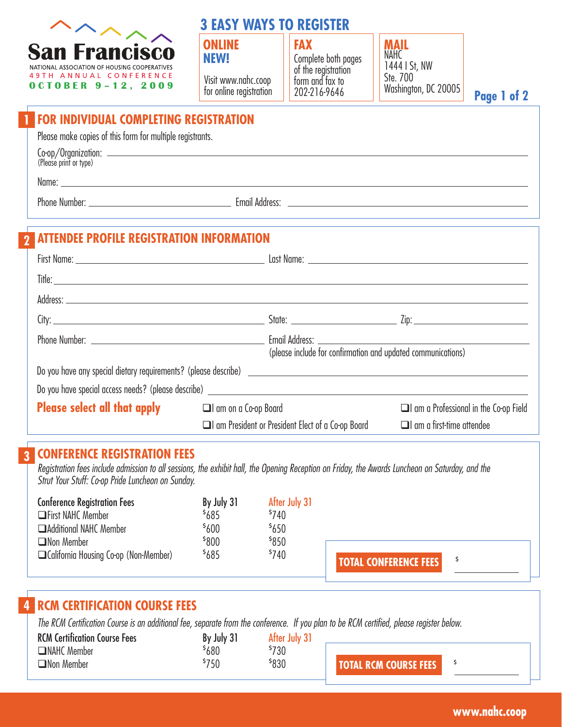

## **3 EASY WAYS TO REGISTER**

Visit www.nahc.coop for online registration

**ONLINE FAX Complete both pages MAIL** Complete both pages of the registration form and fax to 202-216-9646



**Page 1 of 2**

## **FOR INDIVIDUAL COMPLETING REGISTRATION**

Please make copies of this form for multiple registrants.

| Co-op/Organization:    |  |
|------------------------|--|
| (Please print or type) |  |
|                        |  |

Name: when the contract of the contract of the contract of the contract of the contract of the contract of the contract of the contract of the contract of the contract of the contract of the contract of the contract of the

**1**

**2**

Phone Number: <u>Communications and Communications and Email Address: Communications and Communications and Communications and Communications and Communications and Communications and Communications and Communications and Co</u>

## **ATTENDEE PROFILE REGISTRATION INFORMATION**

| Phone Number: Lawrence and the state of the state of the state of the state of the state of the state of the state of the state of the state of the state of the state of the state of the state of the state of the state of | (please include for confirmation and updated communications)                      |                                             |
|-------------------------------------------------------------------------------------------------------------------------------------------------------------------------------------------------------------------------------|-----------------------------------------------------------------------------------|---------------------------------------------|
|                                                                                                                                                                                                                               |                                                                                   |                                             |
|                                                                                                                                                                                                                               | Do you have special access needs? (please describe) _____________________________ |                                             |
| <b>Please select all that apply and all amon a Co-op Board</b>                                                                                                                                                                |                                                                                   | $\Box$ am a Professional in the Co-op Field |
|                                                                                                                                                                                                                               | I am President or President Elect of a Co-op Board                                | $\Box$ am a first-time attendee             |

#### **CONFERENCE REGISTRATION FEES 3**

Registration fees include admission to all sessions, the exhibit hall, the Opening Reception on Friday, the Awards Luncheon on Saturday, and the Strut Your Stuff: Co-op Pride Luncheon on Sunday.

| <b>Conference Registration Fees</b>     | By July 31        | After July 31    |                              |  |
|-----------------------------------------|-------------------|------------------|------------------------------|--|
| <b>Solution</b> First NAHC Member       | <sup>\$</sup> 685 | <sup>\$740</sup> |                              |  |
| <b>Additional NAHC Member</b>           | <sup>\$</sup> 600 | 5650             |                              |  |
| $\Box$ Non Member                       | \$800             | \$850            |                              |  |
| □ California Housing Co-op (Non-Member) | 5685              | \$740            | <b>TOTAL CONFERENCE FEES</b> |  |
|                                         |                   |                  |                              |  |

## **4 RCM CERTIFICATION COURSE FEES**

The RCM Certification Course is an additional fee, separate from the conference. If you plan to be RCM certified, please register below.

| <b>RCM Ce</b><br><b>\ Certification Course Fees</b> | July 31<br>B٧ | July              |                   |  |
|-----------------------------------------------------|---------------|-------------------|-------------------|--|
| $\Box$ NAHC Member                                  | 680           | <sup>5</sup> 730  |                   |  |
| $\Box$ Non Member                                   | 750           | <sup>\$</sup> 830 | L RCM COURSE FEES |  |

**Page 1 of 2 www.nahc.coop**